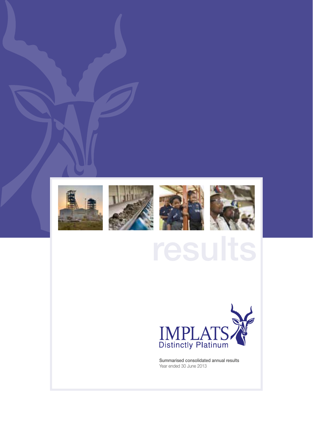



Summarised consolidated annual results Year ended 30 June 2013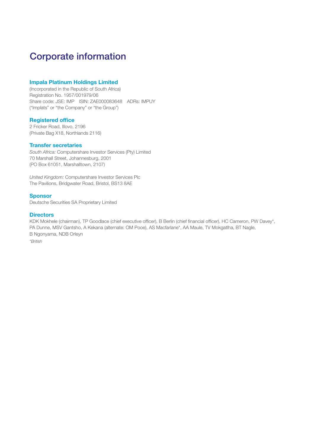# Corporate information

### Impala Platinum Holdings Limited

(Incorporated in the Republic of South Africa) Registration No. 1957/001979/06 Share code: JSE: IMP ISIN: ZAE000083648 ADRs: IMPUY ("Implats" or "the Company" or "the Group")

### Registered office

2 Fricker Road, Illovo, 2196 (Private Bag X18, Northlands 2116)

### Transfer secretaries

*South Africa:* Computershare Investor Services (Pty) Limited 70 Marshall Street, Johannesburg, 2001 (PO Box 61051, Marshalltown, 2107)

*United Kingdom:* Computershare Investor Services Plc The Pavilions, Bridgwater Road, Bristol, BS13 8AE

#### Sponsor

Deutsche Securities SA Proprietary Limited

#### **Directors**

KDK Mokhele (chairman), TP Goodlace (chief executive officer), B Berlin (chief financial officer), HC Cameron, PW Davey\*, PA Dunne, MSV Gantsho, A Kekana (alternate: OM Pooe), AS Macfarlane\*, AA Maule, TV Mokgatlha, BT Nagle, B Ngonyama, NDB Orleyn *\*British*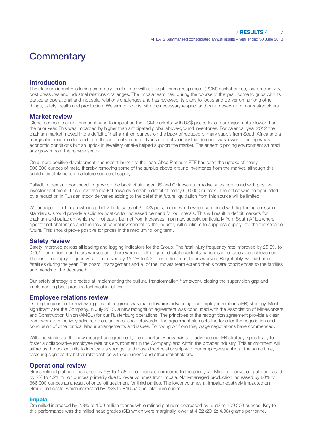# **Commentary**

# Introduction

The platinum industry is facing extremely tough times with static platinum group metal (PGM) basket prices, low productivity, cost pressures and industrial relations challenges. The Impala team has, during the course of the year, come to grips with its particular operational and industrial relations challenges and has reviewed its plans to focus and deliver on, among other things, safety, health and production. We aim to do this with the necessary respect and care, deserving of our stakeholders.

### Market review

Global economic conditions continued to impact on the PGM markets, with US\$ prices for all our major metals lower than the prior year. This was impacted by higher than anticipated global above-ground inventories. For calendar year 2012 the platinum market moved into a deficit of half-a-million ounces on the back of reduced primary supply from South Africa and a marginal increase in demand from the automotive sector. Non-automotive industrial demand was lower reflecting weak economic conditions but an uptick in jewellery offtake helped support the market. The anaemic pricing environment stunted any growth from the recycle sector.

On a more positive development, the recent launch of the local Absa Platinum ETF has seen the uptake of nearly 600 000 ounces of metal thereby removing some of the surplus above-ground inventories from the market, although this could ultimately become a future source of supply.

Palladium demand continued to grow on the back of stronger US and Chinese automotive sales combined with positive investor sentiment. This drove the market towards a sizable deficit of nearly 900 000 ounces. The deficit was compounded by a reduction in Russian stock deliveries adding to the belief that future liquidation from this source will be limited.

We anticipate further growth in global vehicle sales of  $3 - 4%$  per annum, which when combined with tightening emission standards, should provide a solid foundation for increased demand for our metals. This will result in deficit markets for platinum and palladium which will not easily be met from increases in primary supply, particularly from South Africa where operational challenges and the lack of capital investment by the industry will continue to suppress supply into the foreseeable future. This should prove positive for prices in the medium to long term.

### Safety review

Safety improved across all leading and lagging indicators for the Group. The fatal injury frequency rate improved by 25.3% to 0.065 per million man-hours worked and there were no fall-of-ground fatal accidents, which is a considerable achievement. The lost-time injury frequency rate improved by 15.1% to 4.21 per million man-hours worked. Regrettably, we had nine fatalities during the year. The board, management and all of the Implats team extend their sincere condolences to the families and friends of the deceased.

Our safety strategy is directed at implementing the cultural transformation framework, closing the supervision gap and implementing best practice technical initiatives.

### Employee relations review

During the year under review, significant progress was made towards advancing our employee relations (ER) strategy. Most significantly for the Company, in July 2013, a new recognition agreement was concluded with the Association of Mineworkers and Construction Union (AMCU) for our Rustenburg operations. The principles of the recognition agreement provide a clear framework to effectively advance the election of shop stewards. The agreement also sets the tone for the negotiation and conclusion of other critical labour arrangements and issues. Following on from this, wage negotiations have commenced.

With the signing of the new recognition agreement, the opportunity now exists to advance our ER strategy, specifically to foster a collaborative employee relations environment in the Company, and within the broader industry. This environment will afford us the opportunity to inculcate a stronger and more direct relationship with our employees while, at the same time, fostering significantly better relationships with our unions and other stakeholders.

# Operational review

Gross refined platinum increased by 9% to 1.58 million ounces compared to the prior year. Mine to market output decreased by 2% to 1.21 million ounces primarily due to lower volumes from Impala. Non-managed production increased by 80% to 368 000 ounces as a result of once-off treatment for third parties. The lower volumes at Impala negatively impacted on Group unit costs, which increased by 23% to R16 570 per platinum ounce.

### Impala

Ore milled increased by 2.3% to 10.9 million tonnes while refined platinum decreased by 5.5% to 709 200 ounces. Key to this performance was the milled head grades (6E) which were marginally lower at 4.32 (2012: 4.38) grams per tonne.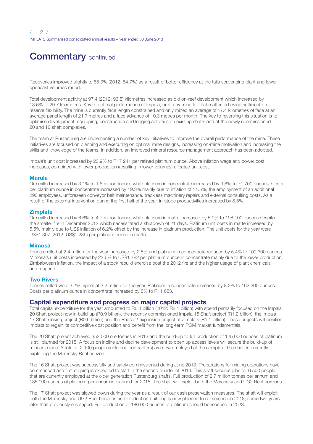# **Commentary continued**

Recoveries improved slightly to 85.3% (2012: 84.7%) as a result of better efficiency at the tails scavenging plant and lower opencast volumes milled.

Total development activity at 97.4 (2012: 96.8) kilometres increased as did on-reef development which increased by 13.6% to 29.7 kilometres. Key to optimal performance at Impala, or at any mine for that matter, is having sufficient ore reserve flexibility. The mine is currently face length constrained and only mined an average of 17.4 kilometres of face at an average panel length of 21.7 metres and a face advance of 10.3 metres per month. The key to reversing this situation is to optimise development, equipping, construction and ledging activities on existing shafts and at the newly commissioned 20 and 16 shaft complexes.

The team at Rustenburg are implementing a number of key initiatives to improve the overall performance of the mine. These initiatives are focused on planning and executing on optimal mine designs, increasing on-mine motivation and increasing the skills and knowledge of the teams. In addition, an improved mineral resource management approach has been adopted.

Impala's unit cost increased by 23.9% to R17 241 per refined platinum ounce. Above inflation wage and power cost increases, combined with lower production (resulting in lower volumes) affected unit cost.

#### Marula

Ore milled increased by 3.1% to 1.6 million tonnes while platinum in concentrate increased by 3.8% to 71 700 ounces. Costs per platinum ounce in concentrate increased by 19.3% mainly due to inflation of 11.5%, the employment of an additional 290 employees, unforeseen conveyor belt maintenance, trackless machinery repairs and external consulting costs. As a result of the external intervention during the first half of the year, in-stope productivities increased by 8.5%.

#### **Zimplats**

Ore milled increased by 6.6% to 4.7 million tonnes while platinum in matte increased by 5.9% to 198 100 ounces despite the smelter fire in December 2012 which necessitated a shutdown of 21 days. Platinum unit costs in matte increased by 5.5% mainly due to US\$ inflation of 6.2% offset by the increase in platinum production. The unit costs for the year were US\$1 307 (2012: US\$1 239) per platinum ounce in matte.

#### Mimosa

Tonnes milled at 2.4 million for the year increased by 2.5% and platinum in concentrate reduced by 5.4% to 100 300 ounces. Mimosa's unit costs increased by 22.6% to US\$1 782 per platinum ounce in concentrate mainly due to the lower production, Zimbabwean inflation, the impact of a stock rebuild exercise post the 2012 fire and the higher usage of plant chemicals and reagents.

#### Two Rivers

Tonnes milled were 2.2% higher at 3.2 million for the year. Platinum in concentrate increased by 8.2% to 162 200 ounces. Costs per platinum ounce in concentrate increased by 8% to R11 683.

### Capital expenditure and progress on major capital projects

Total capital expenditure for the year amounted to R6.4 billion (2012: R8.1 billion) with spend primarily focused on the Impala 20 Shaft project now in build-up (R0.9 billion), the recently commissioned Impala 16 Shaft project (R1.2 billion), the Impala 17 Shaft sinking project (R0.6 billion) and the Phase 2 expansion project at Zimplats (R1.1 billion). These projects will position Implats to regain its competitive cost position and benefit from the long-term PGM market fundamentals.

The 20 Shaft project achieved 352 000 ore tonnes in 2013 and the build-up to full production of 125 000 ounces of platinum is still planned for 2018. A focus on incline and decline development to open up access levels will secure the build-up of mineable face. A total of 2 100 people (including contractors) are now employed at the complex. The shaft is currently exploiting the Merensky Reef horizon.

The 16 Shaft project was successfully and safely commissioned during June 2013. Preparations for mining operations have commenced and first stoping is expected to start in the second quarter of 2014. This shaft secures jobs for 6 500 people that are currently employed at the older generation Rustenburg shafts. Full production of 2.7 million tonnes per annum and 185 000 ounces of platinum per annum is planned for 2018. The shaft will exploit both the Merensky and UG2 Reef horizons.

The 17 Shaft project was slowed down during the year as a result of our cash preservation measures. The shaft will exploit both the Merensky and UG2 Reef horizons and production build-up is now planned to commence in 2018, some two years later than previously envisaged. Full production of 180 000 ounces of platinum should be reached in 2023.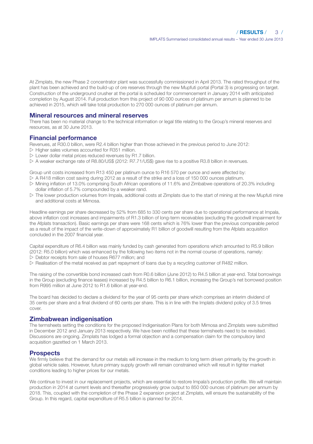At Zimplats, the new Phase 2 concentrator plant was successfully commissioned in April 2013. The rated throughput of the plant has been achieved and the build-up of ore reserves through the new Mupfuti portal (Portal 3) is progressing on target. Construction of the underground crusher at the portal is scheduled for commencement in January 2014 with anticipated completion by August 2014. Full production from this project of 90 000 ounces of platinum per annum is planned to be achieved in 2015, which will take total production to 270 000 ounces of platinum per annum.

### Mineral resources and mineral reserves

There has been no material change to the technical information or legal title relating to the Group's mineral reserves and resources, as at 30 June 2013.

### Financial performance

Revenues, at R30.0 billion, were R2.4 billion higher than those achieved in the previous period to June 2012:

- $\triangleright$  Higher sales volumes accounted for R351 million.
- $\triangleright$  Lower dollar metal prices reduced revenues by R1.7 billion.
- w A weaker exchange rate of R8.80/US\$ (2012: R7.71/US\$) gave rise to a positive R3.8 billion in revenues.

Group unit costs increased from R13 450 per platinum ounce to R16 570 per ounce and were affected by:

- $\triangleright$  A R418 million cost saving during 2012 as a result of the strike and a loss of 150 000 ounces platinum.
- w Mining inflation of 13.0% comprising South African operations of 11.6% and Zimbabwe operations of 20.3% including dollar inflation of 5.7% compounded by a weaker rand.
- $\triangleright$  The lower production volumes from Impala, additional costs at Zimplats due to the start of mining at the new Mupfuti mine and additional costs at Mimosa.

Headline earnings per share decreased by 52% from 685 to 330 cents per share due to operational performance at Impala, above inflation cost increases and impairments of R1.3 billion of long-term receivables (excluding the goodwill impairment for the Afplats transaction). Basic earnings per share were 168 cents which is 76% lower than the previous comparable period as a result of the impact of the write-down of approximately R1 billion of goodwill resulting from the Afplats acquisition concluded in the 2007 financial year.

Capital expenditure of R6.4 billion was mainly funded by cash generated from operations which amounted to R5.9 billion (2012: R5.0 billion) which was enhanced by the following two items not in the normal course of operations, namely:  $\geq$  Debtor receipts from sale of houses R677 million; and

 $\triangleright$  Realisation of the metal received as part repayment of loans due by a recycling customer of R482 million.

The raising of the convertible bond increased cash from R0.6 billion (June 2012) to R4.5 billion at year-end. Total borrowings in the Group (excluding finance leases) increased by R4.5 billion to R6.1 billion, increasing the Group's net borrowed position from R995 million at June 2012 to R1.6 billion at year-end.

The board has decided to declare a dividend for the year of 95 cents per share which comprises an interim dividend of 35 cents per share and a final dividend of 60 cents per share. This is in line with the Implats dividend policy of 3.5 times cover.

### Zimbabwean indigenisation

The termsheets setting the conditions for the proposed Indigenisation Plans for both Mimosa and Zimplats were submitted in December 2012 and January 2013 respectively. We have been notified that these termsheets need to be revisited. Discussions are ongoing. Zimplats has lodged a formal objection and a compensation claim for the compulsory land acquisition gazetted on 1 March 2013.

### **Prospects**

We firmly believe that the demand for our metals will increase in the medium to long term driven primarily by the growth in global vehicle sales. However, future primary supply growth will remain constrained which will result in tighter market conditions leading to higher prices for our metals.

We continue to invest in our replacement projects, which are essential to restore Impala's production profile. We will maintain production in 2014 at current levels and thereafter progressively grow output to 850 000 ounces of platinum per annum by 2018. This, coupled with the completion of the Phase 2 expansion project at Zimplats, will ensure the sustainability of the Group. In this regard, capital expenditure of R5.5 billion is planned for 2014.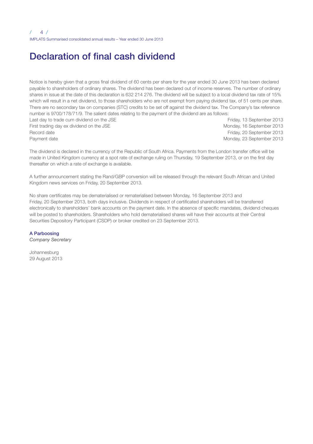# Declaration of final cash dividend

Notice is hereby given that a gross final dividend of 60 cents per share for the year ended 30 June 2013 has been declared payable to shareholders of ordinary shares. The dividend has been declared out of income reserves. The number of ordinary shares in issue at the date of this declaration is 632 214 276. The dividend will be subject to a local dividend tax rate of 15% which will result in a net dividend, to those shareholders who are not exempt from paying dividend tax, of 51 cents per share. There are no secondary tax on companies (STC) credits to be set off against the dividend tax. The Company's tax reference number is 9700/178/71/9. The salient dates relating to the payment of the dividend are as follows: Last day to trade cum dividend on the JSE Friday, 13 September 2013 First trading day ex dividend on the JSE Monday, 16 September 2013

Record date Friday, 20 September 2013 Payment date **Monday, 23 September 2013** Monday, 23 September 2013

The dividend is declared in the currency of the Republic of South Africa. Payments from the London transfer office will be made in United Kingdom currency at a spot rate of exchange ruling on Thursday, 19 September 2013, or on the first day thereafter on which a rate of exchange is available.

A further announcement stating the Rand/GBP conversion will be released through the relevant South African and United Kingdom news services on Friday, 20 September 2013.

No share certificates may be dematerialised or rematerialised between Monday, 16 September 2013 and Friday, 20 September 2013, both days inclusive. Dividends in respect of certificated shareholders will be transferred electronically to shareholders' bank accounts on the payment date. In the absence of specific mandates, dividend cheques will be posted to shareholders. Shareholders who hold dematerialised shares will have their accounts at their Central Securities Depository Participant (CSDP) or broker credited on 23 September 2013.

#### A Parboosing

*Company Secretary*

Johannesburg 29 August 2013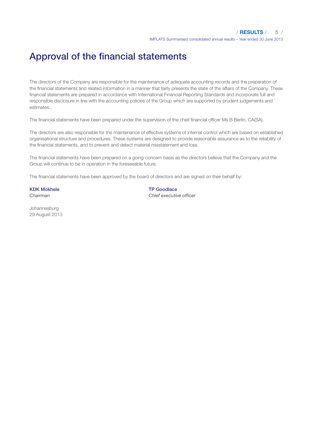# Approval of the financial statements

The directors of the Company are responsible for the maintenance of adequate accounting records and the preparation of the financial statements and related information in a manner that fairly presents the state of the affairs of the Company. These financial statements are prepared in accordance with International Financial Reporting Standards and incorporate full and responsible disclosure in line with the accounting policies of the Group which are supported by prudent judgements and estimates.

The financial statements have been prepared under the supervision of the chief financial officer Ms B Berlin, CA(SA).

The directors are also responsible for the maintenance of effective systems of internal control which are based on established organisational structure and procedures. These systems are designed to provide reasonable assurance as to the reliability of the financial statements, and to prevent and detect material misstatement and loss.

The financial statements have been prepared on a going-concern basis as the directors believe that the Company and the Group will continue to be in operation in the foreseeable future.

The financial statements have been approved by the board of directors and are signed on their behalf by:

# KDK Mokhele TP Goodlace

*Chairman Chief executive officer*

Johannesburg 29 August 2013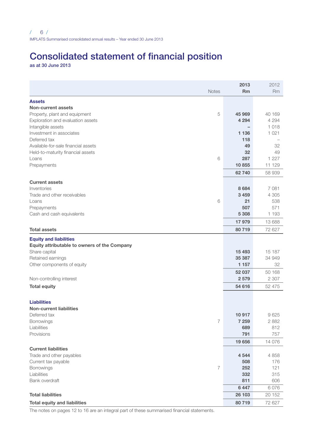# Consolidated statement of financial position

as at 30 June 2013

|                                              |                | 2013                     | 2012           |
|----------------------------------------------|----------------|--------------------------|----------------|
|                                              | Notes          | <b>Rm</b>                | R <sub>m</sub> |
| <b>Assets</b>                                |                |                          |                |
| Non-current assets                           |                |                          |                |
| Property, plant and equipment                | 5              | 45 969                   | 40 169         |
| Exploration and evaluation assets            |                | 4 2 9 4                  | 4 2 9 4        |
| Intangible assets                            |                | $\overline{\phantom{0}}$ | 1018           |
| Investment in associates                     |                | 1 1 3 6                  | 1 0 2 1        |
| Deferred tax                                 |                | 118                      |                |
| Available-for-sale financial assets          |                | 49                       | 32             |
| Held-to-maturity financial assets            |                | 32                       | 49             |
| Loans                                        | 6              | 287                      | 1 2 2 7        |
| Prepayments                                  |                | 10855                    | 11 129         |
|                                              |                | 62740                    | 58 939         |
| <b>Current assets</b>                        |                |                          |                |
| Inventories                                  |                | 8684                     | 7 081          |
| Trade and other receivables                  |                | 3 4 5 9                  | 4 3 0 5        |
| Loans                                        | 6              | 21                       | 538            |
|                                              |                | 507                      | 571            |
| Prepayments<br>Cash and cash equivalents     |                | 5 3 0 8                  | 1 1 9 3        |
|                                              |                | 17979                    | 13 688         |
|                                              |                |                          | 72 627         |
| <b>Total assets</b>                          |                | 80719                    |                |
| <b>Equity and liabilities</b>                |                |                          |                |
| Equity attributable to owners of the Company |                |                          |                |
| Share capital                                |                | 15 4 93                  | 15 187         |
| Retained earnings                            |                | 35 387                   | 34 949         |
| Other components of equity                   |                | 1 1 5 7                  | 32             |
|                                              |                | 52 037                   | 50 168         |
| Non-controlling interest                     |                | 2579                     | 2 3 0 7        |
| <b>Total equity</b>                          |                | 54 616                   | 52 475         |
|                                              |                |                          |                |
| <b>Liabilities</b>                           |                |                          |                |
| <b>Non-current liabilities</b>               |                |                          |                |
| Deferred tax                                 |                | 10917                    | 9625           |
| Borrowings                                   | $\overline{7}$ | 7 2 5 9                  | 2882           |
| Liabilities                                  |                | 689                      | 812            |
| Provisions                                   |                | 791                      | 757            |
|                                              |                | 19 656                   | 14 0 76        |
| <b>Current liabilities</b>                   |                |                          |                |
| Trade and other payables                     |                | 4 5 4 4                  | 4858           |
| Current tax payable                          |                | 508                      | 176            |
| Borrowings                                   | 7              | 252                      | 121            |
| Liabilities                                  |                | 332                      | 315            |
| Bank overdraft                               |                | 811                      | 606            |
|                                              |                | 6447                     | 6.076          |
| <b>Total liabilities</b>                     |                | 26 103                   | 20 152         |
| <b>Total equity and liabilities</b>          |                | 80719                    | 72 627         |
|                                              |                |                          |                |

The notes on pages 12 to 16 are an integral part of these summarised financial statements.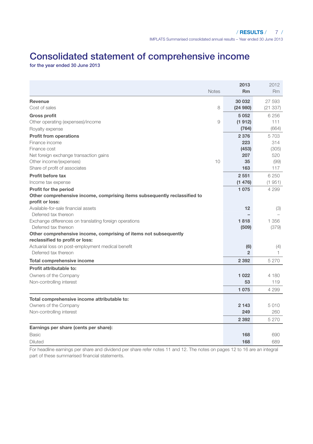# Consolidated statement of comprehensive income

for the year ended 30 June 2013

|                                                                           | <b>Notes</b> | 2013<br><b>Rm</b> | 2012<br><b>Rm</b> |
|---------------------------------------------------------------------------|--------------|-------------------|-------------------|
| Revenue                                                                   |              | 30 032            | 27 593            |
| Cost of sales                                                             | 8            | (24980)           | (21337)           |
| <b>Gross profit</b>                                                       |              | 5052              | 6 25 6            |
| Other operating (expenses)/income                                         | 9            | (1912)            | 111               |
| Royalty expense                                                           |              | (764)             | (664)             |
| <b>Profit from operations</b>                                             |              | 2376              | 5703              |
| Finance income                                                            |              | 223               | 314               |
| Finance cost                                                              |              | (453)             | (305)             |
| Net foreign exchange transaction gains                                    |              | 207               | 520               |
| Other income/(expenses)                                                   | 10           | 35                | (99)              |
| Share of profit of associates                                             |              | 163               | 117               |
| Profit before tax                                                         |              | 2551              | 6 250             |
| Income tax expense                                                        |              | (1476)            | (1951)            |
| Profit for the period                                                     |              | 1075              | 4 2 9 9           |
| Other comprehensive income, comprising items subsequently reclassified to |              |                   |                   |
| profit or loss:<br>Available-for-sale financial assets                    |              | 12                |                   |
| Deferred tax thereon                                                      |              |                   | (3)               |
| Exchange differences on translating foreign operations                    |              | 1818              | 1 356             |
| Deferred tax thereon                                                      |              | (509)             | (379)             |
| Other comprehensive income, comprising of items not subsequently          |              |                   |                   |
| reclassified to profit or loss:                                           |              |                   |                   |
| Actuarial loss on post-employment medical benefit                         |              | (6)               | (4)               |
| Deferred tax thereon                                                      |              | $\mathfrak{p}$    | 1.                |
| Total comprehensive income                                                |              | 2 3 9 2           | 5 2 7 0           |
| Profit attributable to:                                                   |              |                   |                   |
| Owners of the Company                                                     |              | 1022              | 4 180             |
| Non-controlling interest                                                  |              | 53                | 119               |
|                                                                           |              | 1075              | 4 299             |
| Total comprehensive income attributable to:                               |              |                   |                   |
| Owners of the Company                                                     |              | 2 1 4 3           | 5010              |
| Non-controlling interest                                                  |              | 249               | 260               |
|                                                                           |              | 2 3 9 2           | 5 2 7 0           |
| Earnings per share (cents per share):                                     |              |                   |                   |
| <b>Basic</b>                                                              |              | 168               | 690               |
| Diluted                                                                   |              | 168               | 689               |

For headline earnings per share and dividend per share refer notes 11 and 12. The notes on pages 12 to 16 are an integral part of these summarised financial statements.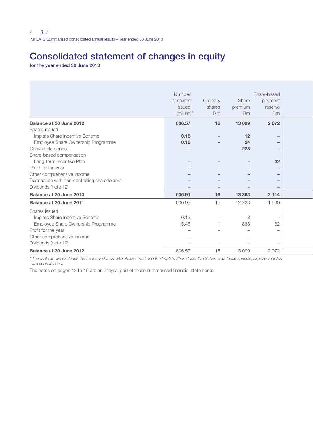# Consolidated statement of changes in equity

for the year ended 30 June 2013

|                                               | Number                   |                          |                                 | Share-based                     |  |
|-----------------------------------------------|--------------------------|--------------------------|---------------------------------|---------------------------------|--|
|                                               | of shares                | Ordinary                 | Share                           | payment                         |  |
|                                               | issued                   | shares                   | premium                         | reserve                         |  |
|                                               | $(million)*$             | <b>Rm</b>                | <b>Rm</b>                       | R <sub>m</sub>                  |  |
| Balance at 30 June 2012                       | 606.57                   | 16                       | 13 0 99                         | 2072                            |  |
| Shares issued                                 |                          |                          |                                 |                                 |  |
| Implats Share Incentive Scheme                | 0.18                     | $\overline{\phantom{0}}$ | 12                              |                                 |  |
| Employee Share Ownership Programme            | 0.16                     | $-$                      | 24                              |                                 |  |
| Convertible bonds                             | $\overline{\phantom{a}}$ | -                        | 228                             | $\qquad \qquad$                 |  |
| Share-based compensation                      |                          |                          |                                 |                                 |  |
| Long-term Incentive Plan                      | $\qquad \qquad$          |                          | $\overline{\phantom{0}}$        | 42                              |  |
| Profit for the year                           | $\overline{\phantom{0}}$ | -                        | $\qquad \qquad$                 | $\qquad \qquad$                 |  |
| Other comprehensive income                    | $-$                      | -                        | $\overline{\phantom{a}}$        |                                 |  |
| Transaction with non-controlling shareholders | $\qquad \qquad -$        | -                        | $\overline{\phantom{a}}$        |                                 |  |
| Dividends (note 12)                           | $\overline{\phantom{0}}$ | $-$                      | $\hspace{0.1mm}-\hspace{0.1mm}$ |                                 |  |
| Balance at 30 June 2013                       | 606.91                   | 16                       | 13 3 63                         | 2 1 1 4                         |  |
| Balance at 30 June 2011                       | 600.99                   | 15                       | 12 2 2 3                        | 1990                            |  |
| Shares issued                                 |                          |                          |                                 |                                 |  |
| Implats Share Incentive Scheme                | 0.13                     |                          | 8                               | $\hspace{0.1mm}-\hspace{0.1mm}$ |  |
| Employee Share Ownership Programme            | 5.45                     |                          | 868                             | 82                              |  |
| Profit for the year                           | $\overline{\phantom{a}}$ |                          | $\overline{\phantom{0}}$        | $\hspace{0.1mm}-\hspace{0.1mm}$ |  |
| Other comprehensive income                    | $\overline{\phantom{a}}$ |                          | $\overline{\phantom{0}}$        | $\hspace{0.1mm}-\hspace{0.1mm}$ |  |
| Dividends (note 12)                           | ۰                        | $\overline{\phantom{a}}$ | $\overline{\phantom{a}}$        | $\hspace{0.1mm}-\hspace{0.1mm}$ |  |
| Balance at 30 June 2012                       | 606.57                   | 16                       | 13 0 9 9                        | 2072                            |  |

*\* The table above excludes the treasury shares, Morokotso Trust and the Implats Share Incentive Scheme as these special-purpose vehicles are consolidated.*

The notes on pages 12 to 16 are an integral part of these summarised financial statements.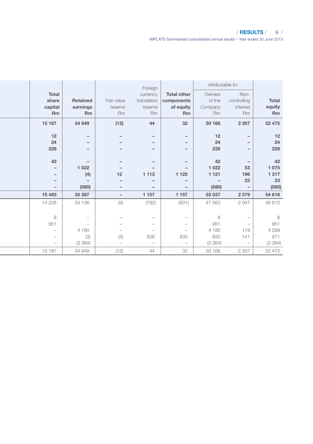### / RESULTS / 9 /

IMPLATS Summarised consolidated annual results – Year ended 30 June 2013

|                                 |                          |                                 | Foreign                         |                          | Attributable to:         |                          |         |
|---------------------------------|--------------------------|---------------------------------|---------------------------------|--------------------------|--------------------------|--------------------------|---------|
| Total                           |                          |                                 | currency                        | <b>Total other</b>       | Owners                   | Non-                     |         |
| share                           | Retained                 | Fair value                      | translation                     | components               | of the                   | controlling              | Total   |
| capital                         | earnings                 | reserve                         | reserve                         | of equity                | Company                  | interest                 | equity  |
| Rm                              | Rm                       | <b>Rm</b>                       | Rm                              | Rm                       | <b>Rm</b>                | <b>Rm</b>                | Rm      |
| 15 187                          | 34 949                   | (12)                            | 44                              | 32                       | 50 168                   | 2 3 0 7                  | 52 475  |
| 12                              | $-$                      | $\overline{\phantom{0}}$        | $\overline{\phantom{0}}$        | $-$                      | 12                       | $-$                      | 12      |
| 24                              | $\overline{\phantom{0}}$ | $\overline{\phantom{0}}$        | $-$                             | $\qquad \qquad -$        | 24                       | $\overline{\phantom{a}}$ | 24      |
| 228                             | $-$                      | $-$                             | $\overline{\phantom{0}}$        | $-$                      | 228                      | $\overline{\phantom{0}}$ | 228     |
| 42                              | $\qquad \qquad -$        | $\overline{\phantom{0}}$        | $-$                             | $\qquad \qquad -$        | 42                       | $\overline{\phantom{a}}$ | 42      |
| $-$                             | 1 0 2 2                  | $\overline{\phantom{0}}$        | $-$                             | $\overline{\phantom{a}}$ | 1 0 2 2                  | 53                       | 1075    |
| $\overline{\phantom{0}}$        | (4)                      | 12                              | 1 1 1 3                         | 1 1 2 5                  | 1 1 2 1                  | 196                      | 1317    |
| $\overline{\phantom{0}}$        | $\overline{\phantom{a}}$ | $\overline{\phantom{0}}$        | $\overline{\phantom{0}}$        | $-$                      | $\overline{\phantom{a}}$ | 23                       | 23      |
| $\overline{\phantom{m}}$        | (580)                    | $\overline{\phantom{0}}$        | $-$                             | $\qquad \qquad -$        | (580)                    | $\overline{\phantom{a}}$ | (580)   |
| 15 4 93                         | 35 387                   | $-$                             | 1 157                           | 1 1 5 7                  | 52 037                   | 2579                     | 54 616  |
| 14 2 28                         | 34 136                   | (9)                             | (792)                           | (801)                    | 47 563                   | 2047                     | 49 610  |
|                                 |                          |                                 |                                 |                          |                          |                          |         |
| 8                               | $-$                      | $\hspace{0.1mm}-\hspace{0.1mm}$ | $\hspace{0.1mm}-\hspace{0.1mm}$ | $-$                      | 8                        | $\overline{\phantom{a}}$ | 8       |
| 951                             | $-$                      | $\qquad \qquad -$               | $\hspace{0.1mm}-\hspace{0.1mm}$ | $\overline{\phantom{a}}$ | 951                      | $\overline{\phantom{a}}$ | 951     |
| $\hspace{0.1mm}-\hspace{0.1mm}$ | 4 180                    | $\overline{\phantom{m}}$        | $\hspace{0.1mm}-\hspace{0.1mm}$ | $\overline{\phantom{a}}$ | 4 180                    | 119                      | 4 2 9 9 |
| $\hspace{0.1mm}-\hspace{0.1mm}$ | (3)                      | (3)                             | 836                             | 833                      | 830                      | 141                      | 971     |
| $\hspace{0.1mm}-\hspace{0.1mm}$ | (3364)                   | $\overline{\phantom{m}}$        | $\hspace{0.1mm}-\hspace{0.1mm}$ | $\overline{\phantom{a}}$ | (3364)                   | $-$                      | (3364)  |
| 15 187                          | 34 949                   | (12)                            | 44                              | 32                       | 50 168                   | 2 3 0 7                  | 52 475  |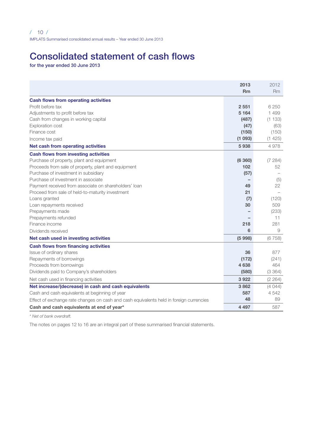# Consolidated statement of cash flows

for the year ended 30 June 2013

|                                                                                         | 2013<br><b>Rm</b> | 2012<br>Rm |
|-----------------------------------------------------------------------------------------|-------------------|------------|
|                                                                                         |                   |            |
| Cash flows from operating activities<br>Profit before tax                               | 2551              | 6 2 5 0    |
| Adjustments to profit before tax                                                        | 5 1 6 4           | 1499       |
| Cash from changes in working capital                                                    | (487)             | (1133)     |
| <b>Exploration cost</b>                                                                 | (47)              | (63)       |
| Finance cost                                                                            | (150)             | (150)      |
| Income tax paid                                                                         | (1093)            | (1425)     |
| Net cash from operating activities                                                      | 5938              | 4978       |
| <b>Cash flows from investing activities</b>                                             |                   |            |
| Purchase of property, plant and equipment                                               | (6360)            | (7284)     |
| Proceeds from sale of property, plant and equipment                                     | 102               | 52         |
| Purchase of investment in subsidiary                                                    | (57)              |            |
| Purchase of investment in associate                                                     |                   | (5)        |
| Payment received from associate on shareholders' loan                                   | 49                | 22         |
| Proceed from sale of held-to-maturity investment                                        | 21                |            |
| Loans granted                                                                           | (7)               | (120)      |
| Loan repayments received                                                                | 30                | 509        |
| Prepayments made                                                                        |                   | (233)      |
| Prepayments refunded                                                                    |                   | 11         |
| Finance income                                                                          | 218               | 281        |
| Dividends received                                                                      | 6                 | 9          |
| Net cash used in investing activities                                                   | (5998)            | (6758)     |
| Cash flows from financing activities                                                    |                   |            |
| Issue of ordinary shares                                                                | 36                | 877        |
| Repayments of borrowings                                                                | (172)             | (241)      |
| Proceeds from borrowings                                                                | 4638              | 464        |
| Dividends paid to Company's shareholders                                                | (580)             | (3 364)    |
| Net cash used in financing activities                                                   | 3922              | (2 264)    |
| Net increase/(decrease) in cash and cash equivalents                                    | 3862              | (4044)     |
| Cash and cash equivalents at beginning of year                                          | 587               | 4542       |
| Effect of exchange rate changes on cash and cash equivalents held in foreign currencies | 48                | 89         |
| Cash and cash equivalents at end of year*                                               | 4 4 9 7           | 587        |

*\* Net of bank overdraft.*

The notes on pages 12 to 16 are an integral part of these summarised financial statements.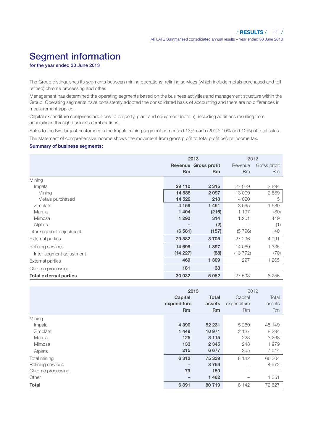# Segment information

for the year ended 30 June 2013

The Group distinguishes its segments between mining operations, refining services (which include metals purchased and toll refined) chrome processing and other.

Management has determined the operating segments based on the business activities and management structure within the Group. Operating segments have consistently adopted the consolidated basis of accounting and there are no differences in measurement applied.

Capital expenditure comprises additions to property, plant and equipment (note 5), including additions resulting from acquisitions through business combinations.

Sales to the two largest customers in the Impala mining segment comprised 13% each (2012: 10% and 12%) of total sales. The statement of comprehensive income shows the movement from gross profit to total profit before income tax.

#### Summary of business segments:

|                               |           | 2013                 |           | 2012         |  |  |
|-------------------------------|-----------|----------------------|-----------|--------------|--|--|
|                               |           | Revenue Gross profit | Revenue   | Gross profit |  |  |
|                               | <b>Rm</b> | <b>Rm</b>            | <b>Rm</b> | Rm           |  |  |
| Mining                        |           |                      |           |              |  |  |
| Impala                        | 29 110    | 2315                 | 27 029    | 2894         |  |  |
| Mining                        | 14 588    | 2097                 | 13 009    | 2889         |  |  |
| Metals purchased              | 14 5 22   | 218                  | 14 0 20   | 5            |  |  |
| Zimplats                      | 4 1 5 9   | 1 4 5 1              | 3665      | 1589         |  |  |
| Marula                        | 1 4 0 4   | (216)                | 1 1 9 7   | (80)         |  |  |
| Mimosa                        | 1 2 9 0   | 314                  | 1 201     | 449          |  |  |
| Afplats                       |           | (2)                  |           | (1)          |  |  |
| Inter-segment adjustment      | (6581)    | (157)                | (5796)    | 140          |  |  |
| External parties              | 29 3 8 2  | 3705                 | 27 29 6   | 4 9 9 1      |  |  |
| Refining services             | 14 696    | 1 3 9 7              | 14 069    | 1 3 3 5      |  |  |
| Inter-segment adjustment      | (14227)   | (88)                 | (13 772)  | (70)         |  |  |
| <b>External parties</b>       | 469       | 1 3 0 9              | 297       | 1 2 6 5      |  |  |
| Chrome processing             | 181       | 38                   |           |              |  |  |
| <b>Total external parties</b> | 30 032    | 5052                 | 27 593    | 6 25 6       |  |  |

|                   | 2013        |           | 2012        |         |
|-------------------|-------------|-----------|-------------|---------|
|                   | Capital     | Total     | Capital     | Total   |
|                   | expenditure | assets    | expenditure | assets  |
|                   | <b>Rm</b>   | <b>Rm</b> | <b>Rm</b>   | Rm      |
| Mining            |             |           |             |         |
| Impala            | 4 3 9 0     | 52 231    | 5 2 6 9     | 45 149  |
| Zimplats          | 1449        | 10 971    | 2 1 3 7     | 8 3 9 4 |
| Marula            | 125         | 3 1 1 5   | 223         | 3 2 6 8 |
| Mimosa            | 133         | 2 3 4 5   | 248         | 1979    |
| Afplats           | 215         | 6677      | 265         | 7514    |
| Total mining      | 6312        | 75 339    | 8 1 4 2     | 66 304  |
| Refining services | -           | 3 7 5 9   |             | 4972    |
| Chrome processing | 79          | 159       |             |         |
| Other             | -           | 1462      |             | 1 3 5 1 |
| Total             | 6 3 9 1     | 80719     | 8 1 4 2     | 72 627  |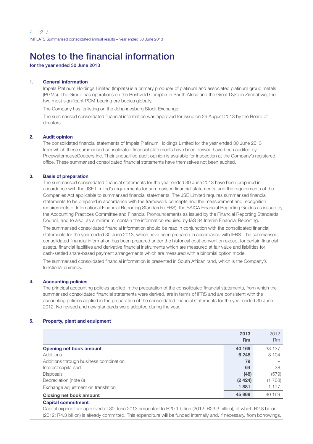# Notes to the financial information

for the year ended 30 June 2013

#### 1. General information

 Impala Platinum Holdings Limited (Implats) is a primary producer of platinum and associated platinum group metals (PGMs). The Group has operations on the Bushveld Complex in South Africa and the Great Dyke in Zimbabwe, the two most significant PGM-bearing ore bodies globally.

The Company has its listing on the Johannesburg Stock Exchange.

 The summarised consolidated financial information was approved for issue on 29 August 2013 by the Board of directors.

#### 2. Audit opinion

 The consolidated financial statements of Impala Platinum Holdings Limited for the year ended 30 June 2013 from which these summarised consolidated financial statements have been derived have been audited by PricewaterhouseCoopers Inc. Their unqualified audit opinion is available for inspection at the Company's registered office. These summarised consolidated financial statements have themselves not been audited.

### 3. Basis of preparation

 The summarised consolidated financial statements for the year ended 30 June 2013 have been prepared in accordance with the JSE Limited's requirements for summarised financial statements, and the requirements of the Companies Act applicable to summarised financial statements. The JSE Limited requires summarised financial statements to be prepared in accordance with the framework concepts and the measurement and recognition requirements of International Financial Reporting Standards (IFRS), the SAICA Financial Reporting Guides as issued by the Accounting Practices Committee and Financial Pronouncements as issued by the Financial Reporting Standards Council, and to also, as a minimum, contain the information required by IAS 34 Interim Financial Reporting.

 The summarised consolidated financial information should be read in conjunction with the consolidated financial statements for the year ended 30 June 2013, which have been prepared in accordance with IFRS. The summarised consolidated financial information has been prepared under the historical cost convention except for certain financial assets, financial liabilities and derivative financial instruments which are measured at fair value and liabilities for cash-settled share-based payment arrangements which are measured with a binomial option model.

 The summarised consolidated financial information is presented in South African rand, which is the Company's functional currency.

#### 4. Accounting policies

 The principal accounting policies applied in the preparation of the consolidated financial statements, from which the summarised consolidated financial statements were derived, are in terms of IFRS and are consistent with the accounting policies applied in the preparation of the consolidated financial statements for the year ended 30 June 2012. No revised and new standards were adopted during the year.

#### 5. Property, plant and equipment

|                                        | 2013<br><b>Rm</b> | 2012<br><b>Rm</b> |
|----------------------------------------|-------------------|-------------------|
| Opening net book amount                | 40 169            | 33 137            |
| <b>Additions</b>                       | 6 2 4 8           | 8 1 0 4           |
| Additions through business combination | 79                |                   |
| Interest capitalised                   | 64                | 38                |
| <b>Disposals</b>                       | (48)              | (579)             |
| Depreciation (note 8)                  | (2424)            | (1708)            |
| Exchange adjustment on translation     | 1881              | 1 177             |
| Closing net book amount                | 45 969            | 40 169            |

### Capital commitment

Capital expenditure approved at 30 June 2013 amounted to R20.1 billion (2012: R23.3 billion), of which R2.8 billion (2012: R4.3 billion) is already committed. This expenditure will be funded internally and, if necessary, from borrowings.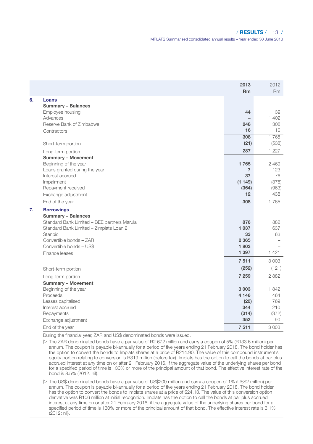### / RESULTS / 13 /

IMPLATS Summarised consolidated annual results – Year ended 30 June 2013

|    |                                             | 2013<br><b>Rm</b> | 2012<br>R <sub>m</sub> |
|----|---------------------------------------------|-------------------|------------------------|
| 6. | Loans                                       |                   |                        |
|    | Summary - Balances                          |                   |                        |
|    | Employee housing                            | 44                | 39                     |
|    | Advances                                    |                   | 1402                   |
|    | Reserve Bank of Zimbabwe                    | 248               | 308                    |
|    | Contractors                                 | 16                | 16                     |
|    |                                             | 308               | 1765                   |
|    | Short-term portion                          | (21)              | (538)                  |
|    | Long-term portion                           | 287               | 1 2 2 7                |
|    | <b>Summary - Movement</b>                   |                   |                        |
|    | Beginning of the year                       | 1765              | 2469                   |
|    | Loans granted during the year               | $\overline{7}$    | 123                    |
|    | Interest accrued                            | 37                | 76                     |
|    | Impairment                                  | (1149)            | (378)                  |
|    | Repayment received                          | (364)             | (963)                  |
|    | Exchange adjustment                         | 12                | 438                    |
|    | End of the year                             | 308               | 1765                   |
| 7. | <b>Borrowings</b>                           |                   |                        |
|    | <b>Summary - Balances</b>                   |                   |                        |
|    | Standard Bank Limited - BEE partners Marula | 876               | 882                    |
|    | Standard Bank Limited - Zimplats Loan 2     | 1 0 3 7           | 637                    |
|    | Stanbic                                     | 33                | 63                     |
|    | Convertible bonds - ZAR                     | 2 3 6 5           |                        |
|    | Convertible bonds - US\$                    | 1803              |                        |
|    | Finance leases                              | 1 3 9 7           | 1421                   |
|    |                                             | 7511              | 3003                   |
|    | Short-term portion                          | (252)             | (121)                  |
|    | Long-term portion                           | 7 2 5 9           | 2882                   |
|    | <b>Summary - Movement</b>                   |                   |                        |
|    | Beginning of the year                       | 3003              | 1842                   |
|    | Proceeds                                    | 4 1 4 6           | 464                    |
|    | Leases capitalised                          | (20)              | 769                    |
|    | Interest accrued                            | 344               | 210                    |
|    | Repayments                                  | (314)             | (372)                  |
|    | Exchange adjustment                         | 352               | 90                     |
|    | End of the year                             | 7511              | 3003                   |

During the financial year, ZAR and US\$ denominated bonds were issued.

 $\triangleright$  The ZAR denominated bonds have a par value of R2 672 million and carry a coupon of 5% (R133.6 million) per annum. The coupon is payable bi-annually for a period of five years ending 21 February 2018. The bond holder has the option to convert the bonds to Implats shares at a price of R214.90. The value of this compound instrument's equity portion relating to conversion is R319 million (before tax). Implats has the option to call the bonds at par plus accrued interest at any time on or after 21 February 2016, if the aggregate value of the underlying shares per bond for a specified period of time is 130% or more of the principal amount of that bond. The effective interest rate of the bond is 8.5% (2012: nil).

w The US\$ denominated bonds have a par value of US\$200 million and carry a coupon of 1% (US\$2 million) per annum. The coupon is payable bi-annually for a period of five years ending 21 February 2018. The bond holder<br>has the option to convert the bonds to Implats shares at a price of \$24.13. The value of this conversion option derivative was R106 million at initial recognition. Implats has the option to call the bonds at par plus accrued interest at any time on or after 21 February 2016, if the aggregate value of the underlying shares per bond for a specified period of time is 130% or more of the principal amount of that bond. The effective interest rate is 3.1% (2012: nil).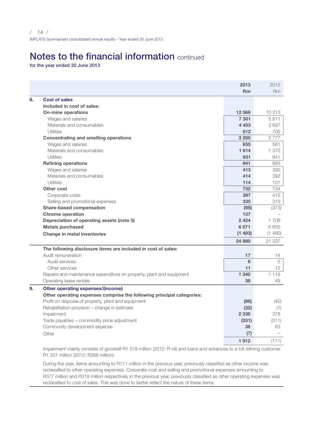# Notes to the financial information continued

for the year ended 30 June 2013

|                                                                       | 2013      | 2012            |
|-----------------------------------------------------------------------|-----------|-----------------|
|                                                                       | <b>Rm</b> | R <sub>m</sub>  |
| 8.<br><b>Cost of sales</b>                                            |           |                 |
| Included in cost of sales:                                            |           |                 |
| On-mine operations                                                    | 12 5 66   | 10 213          |
| Wages and salaries                                                    | 7 3 0 1   | 5811            |
| Materials and consumables                                             | 4 4 5 3   | 3697            |
| <b>Utilities</b>                                                      | 812       | 705             |
| Concentrating and smelting operations                                 | 3 2 0 0   | 2777            |
| Wages and salaries                                                    | 655       | 561             |
| Materials and consumables                                             | 1614      | 1 375           |
| <b>Utilities</b>                                                      | 931       | 841             |
| <b>Refining operations</b>                                            | 941       | 883             |
| Wages and salaries                                                    | 413       | 390             |
| Materials and consumables                                             | 414       | 392             |
| <b>Utilities</b>                                                      | 114       | 101             |
| Other cost                                                            | 732       | 734             |
| Corporate costs                                                       | 397       | 415             |
| Selling and promotional expenses                                      | 335       | 319             |
| Share-based compensation                                              | (98)      | (373)           |
| <b>Chrome operation</b>                                               | 137       |                 |
| Depreciation of operating assets (note 5)                             | 2 4 2 4   | 1 708           |
| <b>Metals purchased</b>                                               | 6571      | 6855            |
| Change in metal inventories                                           | (1493)    | (1460)          |
|                                                                       | 24 980    | 21 337          |
| The following disclosure items are included in cost of sales:         |           |                 |
| Audit remuneration                                                    | 17        | 14              |
| Audit services                                                        | 6         | $\overline{2}$  |
| Other services                                                        | 11        | 12 <sup>2</sup> |
| Repairs and maintenance expenditure on property, plant and equipment  | 1 3 4 0   | 1 1 1 9         |
| Operating lease rentals                                               | 38        | 49              |
| 9.<br>Other operating expenses/(income)                               |           |                 |
| Other operating expenses comprise the following principal categories: |           |                 |
| Profit on disposal of property, plant and equipment                   | (86)      | (40)            |
| Rehabilitation provision - change in estimate                         | (32)      | (1)             |
| Impairment                                                            | 2 3 3 0   | 378             |
| Trade payables - commodity price adjustment                           | (331)     | (511)           |
| Community development expense                                         | 38        | 63              |
| Other                                                                 | (7)       |                 |
|                                                                       | 1912      | (111)           |

Impairment mainly consists of goodwill R1 018 million (2012: R nil) and loans and advances to a toll refining customer R1 201 million (2012: R266 million).

During the year, items amounting to R111 million in the previous year, previously classified as other income was reclassified to other operating expenses. Corporate cost and selling and promotional expenses amounting to R377 million and R319 million respectively in the previous year, previously classified as other operating expenses was reclassified to cost of sales. This was done to better reflect the nature of these items.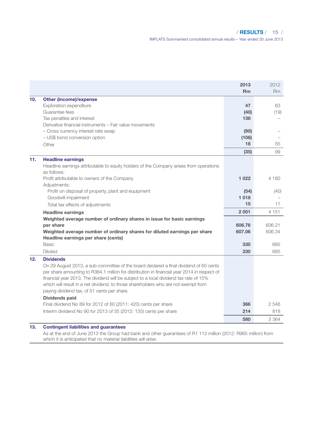# / RESULTS / 15 /

IMPLATS Summarised consolidated annual results – Year ended 30 June 2013

|     |                                                                                                                                                                                                                                                                                                                                                                                                                                                          | 2013<br><b>Rm</b>        | 2012<br>Rm                  |
|-----|----------------------------------------------------------------------------------------------------------------------------------------------------------------------------------------------------------------------------------------------------------------------------------------------------------------------------------------------------------------------------------------------------------------------------------------------------------|--------------------------|-----------------------------|
| 10. | Other (income)/expense<br>Exploration expenditure<br>Guarantee fees<br>Tax penalties and interest                                                                                                                                                                                                                                                                                                                                                        | 47<br>(40)<br>136        | 63<br>(19)                  |
|     | Derivative financial instruments - Fair value movements<br>- Cross currency interest rate swap<br>- US\$ bond conversion option<br>Other                                                                                                                                                                                                                                                                                                                 | (90)<br>(106)<br>18      | 55                          |
|     |                                                                                                                                                                                                                                                                                                                                                                                                                                                          | (35)                     | 99                          |
| 11. | <b>Headline earnings</b><br>Headline earnings attributable to equity holders of the Company arises from operations<br>as follows:                                                                                                                                                                                                                                                                                                                        |                          |                             |
|     | Profit attributable to owners of the Company<br>Adjustments:                                                                                                                                                                                                                                                                                                                                                                                             | 1 0 2 2                  | 4 1 8 0                     |
|     | Profit on disposal of property, plant and equipment                                                                                                                                                                                                                                                                                                                                                                                                      | (54)                     | (40)                        |
|     | Goodwill impairment                                                                                                                                                                                                                                                                                                                                                                                                                                      | 1018                     |                             |
|     | Total tax effects of adjustments                                                                                                                                                                                                                                                                                                                                                                                                                         | 15                       | 11                          |
|     | <b>Headline earnings</b><br>Weighted average number of ordinary shares in issue for basic earnings<br>per share<br>Weighted average number of ordinary shares for diluted earnings per share<br>Headline earnings per share (cents)                                                                                                                                                                                                                      | 2001<br>606,76<br>607.06 | 4 1 5 1<br>606.21<br>606.34 |
|     | <b>Basic</b>                                                                                                                                                                                                                                                                                                                                                                                                                                             | 330                      | 685                         |
|     | Diluted                                                                                                                                                                                                                                                                                                                                                                                                                                                  | 330                      | 685                         |
| 12. | <b>Dividends</b><br>On 29 August 2013, a sub-committee of the board declared a final dividend of 60 cents<br>per share amounting to R364.1 million for distribution in financial year 2014 in respect of<br>financial year 2013. The dividend will be subject to a local dividend tax rate of 15%<br>which will result in a net dividend, to those shareholders who are not exempt from<br>paying dividend tax, of 51 cents per share.<br>Dividends paid |                          |                             |
|     | Final dividend No 89 for 2012 of 60 (2011: 420) cents per share                                                                                                                                                                                                                                                                                                                                                                                          | 366                      | 2546                        |
|     | Interim dividend No 90 for 2013 of 35 (2012: 135) cents per share                                                                                                                                                                                                                                                                                                                                                                                        | 214                      | 818                         |
|     |                                                                                                                                                                                                                                                                                                                                                                                                                                                          | 580                      | 3 364                       |
| 13. | <b>Contingent liabilities and guarantees</b>                                                                                                                                                                                                                                                                                                                                                                                                             |                          |                             |

As at the end of June 2013 the Group had bank and other guarantees of R1 112 million (2012: R965 million) from which it is anticipated that no material liabilities will arise.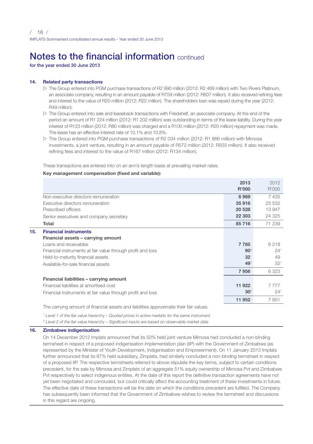# Notes to the financial information continued

for the year ended 30 June 2013

#### 14. Related party transactions

- $\triangleright$  The Group entered into PGM purchase transactions of R2 990 million (2012: R2 469 million) with Two Rivers Platinum, an associate company, resulting in an amount payable of R759 million (2012: R607 million). It also received refining fees and interest to the value of R20 million (2012: R22 million). The shareholders loan was repaid during the year (2012: R49 million).
- $\triangleright$  The Group entered into sale and leaseback transactions with Friedshelf, an associate company. At the end of the period an amount of R1 224 million (2012: R1 202 million) was outstanding in terms of the lease liability. During the year interest of R123 million (2012: R80 million) was charged and a R100 million (2012: R20 million) repayment was made. The lease has an effective interest rate of 10.1% and 10.8%.
- $\triangleright$  The Group entered into PGM purchase transactions of R2 034 million (2012: R1 866 million) with Mimosa Investments, a joint venture, resulting in an amount payable of R572 million (2012: R503 million). It also received refining fees and interest to the value of R167 million (2012: R134 million).

These transactions are entered into on an arm's length basis at prevailing market rates.

### Key management compensation (fixed and variable):

|                                                             | 2013            | 2012            |
|-------------------------------------------------------------|-----------------|-----------------|
|                                                             | R'000           | R'000           |
| Non-executive directors remuneration                        | 6969            | 7435            |
| Executive directors remuneration                            | 35916           | 25 532          |
| Prescribed officers                                         | 20 5 28         | 13 947          |
| Senior executives and company secretary                     | 22 303          | 24 3 25         |
| Total                                                       | 85716           | 71 239          |
| 15.<br><b>Financial instruments</b>                         |                 |                 |
| Financial assets - carrying amount                          |                 |                 |
| I gans and receivables                                      | 7785            | 6218            |
| Financial instruments at fair value through profit and loss | 90 <sup>2</sup> | $24^{1}$        |
| Held-to-maturity financial assets                           | 32              | 49              |
| Available-for-sale financial assets                         | 49 <sup>1</sup> | 32 <sup>1</sup> |
|                                                             | 7956            | 6323            |
| Financial liabilities - carrying amount                     |                 |                 |
| Financial liabilities at amortised cost                     | 11 922          | 7 7 7 7         |
| Financial instruments at fair value through profit and loss | 30 <sup>2</sup> | $24^{1}$        |
|                                                             | 11 952          | 7801            |

The carrying amount of financial assets and liabilities approximate their fair values.

1  *Level 1 of the fair value hierarchy – Quoted prices in active markets for the same instrument*

2  *Level 2 of the fair value hierarchy – Significant inputs are based on observable market data*

#### 16. Zimbabwe indigenisation

On 14 December 2012 Implats announced that its 50% held joint venture Mimosa had concluded a non-binding termsheet in respect of a proposed indigenisation implementation plan (IIP) with the Government of Zimbabwe (as represented by the Minister of Youth Development, Indigenisation and Empowerment). On 11 January 2013 Implats further announced that its 87% held subsidiary, Zimplats, had similarly concluded a non-binding termsheet in respect of a proposed IIP. The respective termsheets referred to above stipulate the key terms, subject to certain conditions precedent, for the sale by Mimosa and Zimplats of an aggregate 51% equity ownership of Mimosa Pvt and Zimbabwe Pvt respectively to select indigenous entities. At the date of this report the definitive transaction agreements have not yet been negotiated and concluded, but could critically affect the accounting treatment of these investments in future. The effective date of these transactions will be the date on which the conditions precedent are fulfilled. The Company has subsequently been informed that the Government of Zimbabwe wishes to review the termsheet and discussions in this regard are ongoing.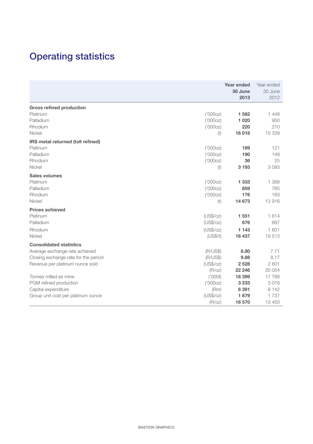# Operating statistics

|                                      |           | Year ended<br>30 June<br>2013 | Year ended<br>30 June<br>2012 |
|--------------------------------------|-----------|-------------------------------|-------------------------------|
| <b>Gross refined production</b>      |           |                               |                               |
| Platinum                             | ('000oz)  | 1582                          | 1448                          |
| Palladium                            | ('000oz)  | 1 0 2 0                       | 950                           |
| Rhodium                              | ('000oz)  | 220                           | 210                           |
| Nickel                               | (t)       | 16018                         | 15 339                        |
| IRS metal returned (toll refined)    |           |                               |                               |
| Platinum                             | ('000oz)  | 189                           | 121                           |
| Palladium                            | ('000oz)  | 190                           | 148                           |
| Rhodium                              | ('000oz)  | 36                            | 25                            |
| Nickel                               | (t)       | 3 1 9 3                       | 3093                          |
| Sales volumes                        |           |                               |                               |
| Platinum                             | ('000oz)  | 1 3 3 3                       | 1 3 6 8                       |
| Palladium                            | ('000oz)  | 859                           | 765                           |
| Rhodium                              | ('000oz)  | 176                           | 183                           |
| Nickel                               | (t)       | 14 673                        | 13916                         |
| Prices achieved                      |           |                               |                               |
| Platinum                             | (US\$/oz) | 1551                          | 1614                          |
| Palladium                            | (US\$/oz) | 676                           | 687                           |
| Rhodium                              | (US\$/oz) | 1 1 4 3                       | 1 601                         |
| Nickel                               | (US\$/t)  | 16 437                        | 19513                         |
| <b>Consolidated statistics</b>       |           |                               |                               |
| Average exchange rate achieved       | (R/US\$)  | 8.80                          | 7.71                          |
| Closing exchange rate for the period | (R/US\$)  | 9.88                          | 8.17                          |
| Revenue per platinum ounce sold      | (US\$/oz) | 2528                          | 2601                          |
|                                      | (R/OZ)    | 22 246                        | 20 054                        |
| Tonnes milled ex mine                | ('OOOt)   | 18 399                        | 17788                         |
| PGM refined production               | ('000oz)  | 3 2 3 3                       | 3016                          |
| Capital expenditure                  | (Rm)      | 6391                          | 8 1 4 2                       |
| Group unit cost per platinum ounce   | (US\$/oz) | 1879                          | 1737                          |
|                                      | (R/OZ)    | 16 570                        | 13 450                        |